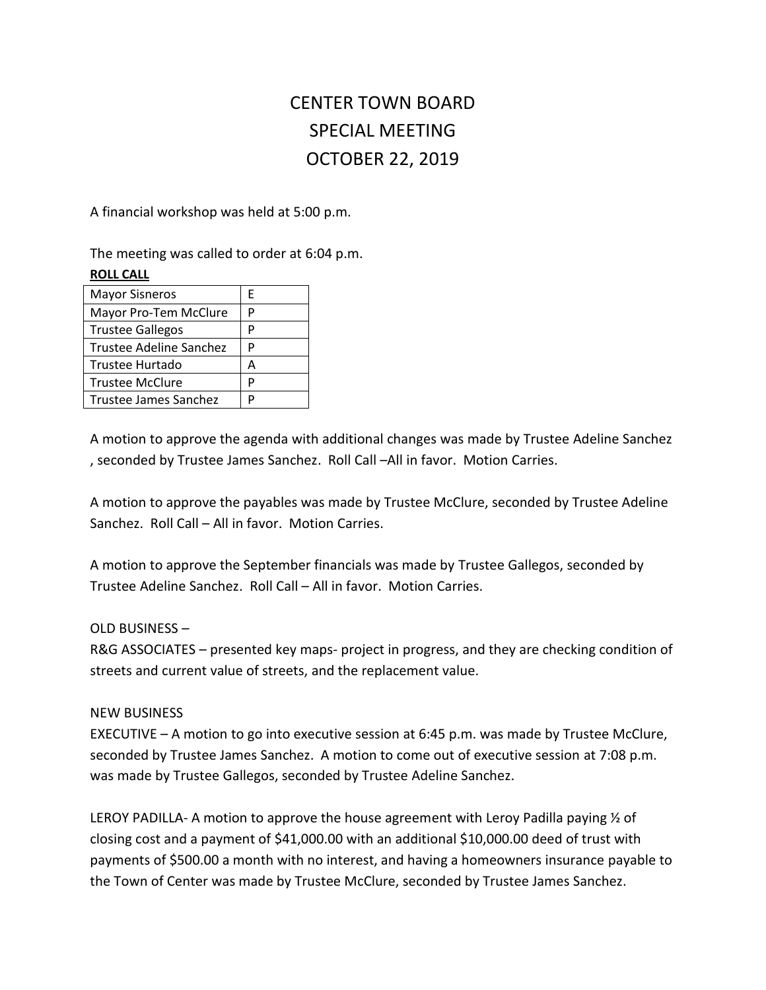## CENTER TOWN BOARD SPECIAL MEETING OCTOBER 22, 2019

A financial workshop was held at 5:00 p.m.

The meeting was called to order at 6:04 p.m. **ROLL CALL**

| <b>Mayor Sisneros</b>   | E |
|-------------------------|---|
| Mayor Pro-Tem McClure   | P |
| <b>Trustee Gallegos</b> | P |
| Trustee Adeline Sanchez | P |
| Trustee Hurtado         | А |
| <b>Trustee McClure</b>  | P |
| Trustee James Sanchez   | D |

A motion to approve the agenda with additional changes was made by Trustee Adeline Sanchez , seconded by Trustee James Sanchez. Roll Call –All in favor. Motion Carries.

A motion to approve the payables was made by Trustee McClure, seconded by Trustee Adeline Sanchez. Roll Call – All in favor. Motion Carries.

A motion to approve the September financials was made by Trustee Gallegos, seconded by Trustee Adeline Sanchez. Roll Call – All in favor. Motion Carries.

## OLD BUSINESS –

R&G ASSOCIATES – presented key maps- project in progress, and they are checking condition of streets and current value of streets, and the replacement value.

## NEW BUSINESS

EXECUTIVE – A motion to go into executive session at 6:45 p.m. was made by Trustee McClure, seconded by Trustee James Sanchez. A motion to come out of executive session at 7:08 p.m. was made by Trustee Gallegos, seconded by Trustee Adeline Sanchez.

LEROY PADILLA- A motion to approve the house agreement with Leroy Padilla paying  $\frac{1}{2}$  of closing cost and a payment of \$41,000.00 with an additional \$10,000.00 deed of trust with payments of \$500.00 a month with no interest, and having a homeowners insurance payable to the Town of Center was made by Trustee McClure, seconded by Trustee James Sanchez.